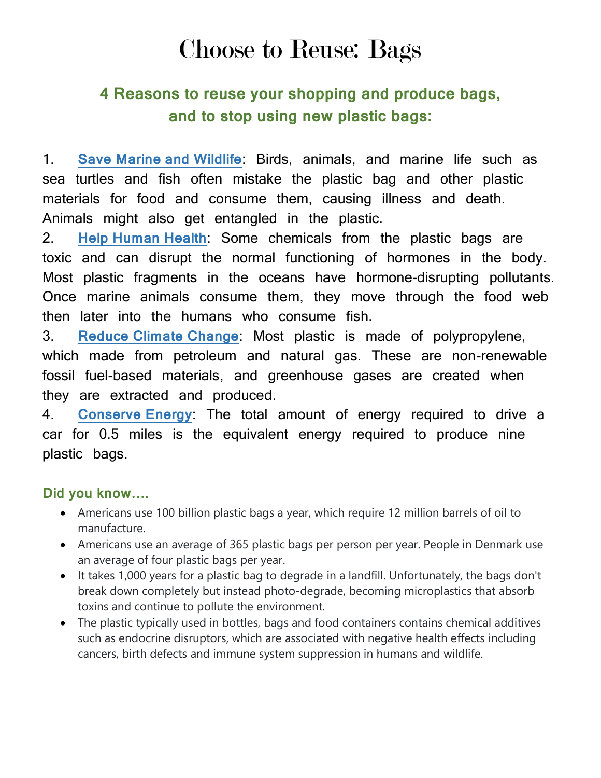## Choose to Reuse: Bags

## **4 Reasons to reuse your shopping and produce bags, and to stop using new plastic bags:**

1. **Save Marine and Wildlife**: Birds, animals, and marine life such as sea turtles and fish often mistake the plastic bag and other plastic materials for food and consume them, causing illness and death. Animals might also get entangled in the plastic.

2. **Help Human Health**: Some chemicals from the plastic bags are toxic and can disrupt the normal functioning of hormones in the body. Most plastic fragments in the oceans have hormone-disrupting pollutants. Once marine animals consume them, they move through the food web then later into the humans who consume fish.

3. **Reduce Climate Change**: Most plastic is made of polypropylene, which made from petroleum and natural gas. These are non-renewable fossil fuel-based materials, and greenhouse gases are created when they are extracted and produced.

4. **Conserve Energy**: The total amount of energy required to drive a car for 0.5 miles is the equivalent energy required to produce nine plastic bags.

## **Did you know….**

- Americans use 100 billion plastic bags a year, which require 12 million barrels of oil to manufacture.
- Americans use an average of 365 plastic bags per person per year. People in Denmark use an average of four plastic bags per year.
- It takes 1,000 years for a plastic bag to degrade in a landfill. Unfortunately, the bags don't break down completely but instead photo-degrade, becoming microplastics that absorb toxins and continue to pollute the environment.
- The plastic typically used in bottles, bags and food containers contains chemical additives such as endocrine disruptors, which are associated with negative health effects including cancers, birth defects and immune system suppression in humans and wildlife.